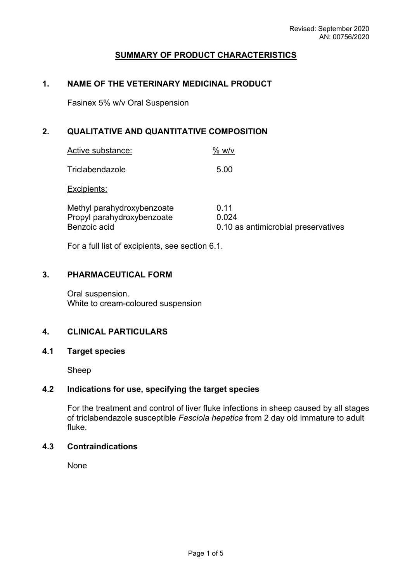# **SUMMARY OF PRODUCT CHARACTERISTICS**

# **1. NAME OF THE VETERINARY MEDICINAL PRODUCT**

Fasinex 5% w/v Oral Suspension

# **2. QUALITATIVE AND QUANTITATIVE COMPOSITION**

| Active substance:                                                        | % w/v                                                |
|--------------------------------------------------------------------------|------------------------------------------------------|
| Triclabendazole                                                          | 5.00                                                 |
| Excipients:                                                              |                                                      |
| Methyl parahydroxybenzoate<br>Propyl parahydroxybenzoate<br>Benzoic acid | 0.11<br>0.024<br>0.10 as antimicrobial preservatives |

For a full list of excipients, see section 6.1.

## **3. PHARMACEUTICAL FORM**

Oral suspension. White to cream-coloured suspension

# **4. CLINICAL PARTICULARS**

## **4.1 Target species**

Sheep

# **4.2 Indications for use, specifying the target species**

For the treatment and control of liver fluke infections in sheep caused by all stages of triclabendazole susceptible *Fasciola hepatica* from 2 day old immature to adult fluke.

# **4.3 Contraindications**

None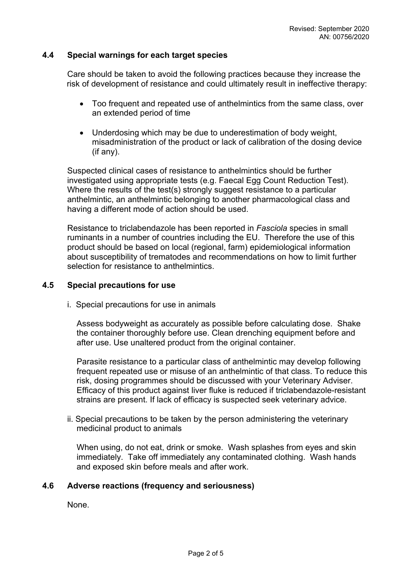## **4.4 Special warnings for each target species**

Care should be taken to avoid the following practices because they increase the risk of development of resistance and could ultimately result in ineffective therapy:

- Too frequent and repeated use of anthelmintics from the same class, over an extended period of time
- Underdosing which may be due to underestimation of body weight, misadministration of the product or lack of calibration of the dosing device (if any).

Suspected clinical cases of resistance to anthelmintics should be further investigated using appropriate tests (e.g. Faecal Egg Count Reduction Test). Where the results of the test(s) strongly suggest resistance to a particular anthelmintic, an anthelmintic belonging to another pharmacological class and having a different mode of action should be used.

Resistance to triclabendazole has been reported in *Fasciola* species in small ruminants in a number of countries including the EU. Therefore the use of this product should be based on local (regional, farm) epidemiological information about susceptibility of trematodes and recommendations on how to limit further selection for resistance to anthelmintics.

## **4.5 Special precautions for use**

i. Special precautions for use in animals

Assess bodyweight as accurately as possible before calculating dose. Shake the container thoroughly before use. Clean drenching equipment before and after use. Use unaltered product from the original container.

Parasite resistance to a particular class of anthelmintic may develop following frequent repeated use or misuse of an anthelmintic of that class. To reduce this risk, dosing programmes should be discussed with your Veterinary Adviser. Efficacy of this product against liver fluke is reduced if triclabendazole-resistant strains are present. If lack of efficacy is suspected seek veterinary advice.

ii. Special precautions to be taken by the person administering the veterinary medicinal product to animals

When using, do not eat, drink or smoke. Wash splashes from eyes and skin immediately. Take off immediately any contaminated clothing. Wash hands and exposed skin before meals and after work.

#### **4.6 Adverse reactions (frequency and seriousness)**

None.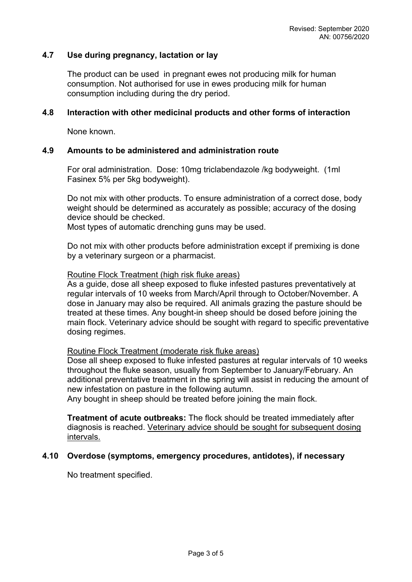# **4.7 Use during pregnancy, lactation or lay**

The product can be used in pregnant ewes not producing milk for human consumption. Not authorised for use in ewes producing milk for human consumption including during the dry period.

#### **4.8 Interaction with other medicinal products and other forms of interaction**

None known.

#### **4.9 Amounts to be administered and administration route**

For oral administration. Dose: 10mg triclabendazole /kg bodyweight. (1ml Fasinex 5% per 5kg bodyweight).

Do not mix with other products. To ensure administration of a correct dose, body weight should be determined as accurately as possible; accuracy of the dosing device should be checked.

Most types of automatic drenching guns may be used.

Do not mix with other products before administration except if premixing is done by a veterinary surgeon or a pharmacist.

#### Routine Flock Treatment (high risk fluke areas)

As a guide, dose all sheep exposed to fluke infested pastures preventatively at regular intervals of 10 weeks from March/April through to October/November. A dose in January may also be required. All animals grazing the pasture should be treated at these times. Any bought-in sheep should be dosed before joining the main flock. Veterinary advice should be sought with regard to specific preventative dosing regimes.

#### Routine Flock Treatment (moderate risk fluke areas)

Dose all sheep exposed to fluke infested pastures at regular intervals of 10 weeks throughout the fluke season, usually from September to January/February. An additional preventative treatment in the spring will assist in reducing the amount of new infestation on pasture in the following autumn.

Any bought in sheep should be treated before joining the main flock.

**Treatment of acute outbreaks:** The flock should be treated immediately after diagnosis is reached. Veterinary advice should be sought for subsequent dosing intervals.

#### **4.10 Overdose (symptoms, emergency procedures, antidotes), if necessary**

No treatment specified.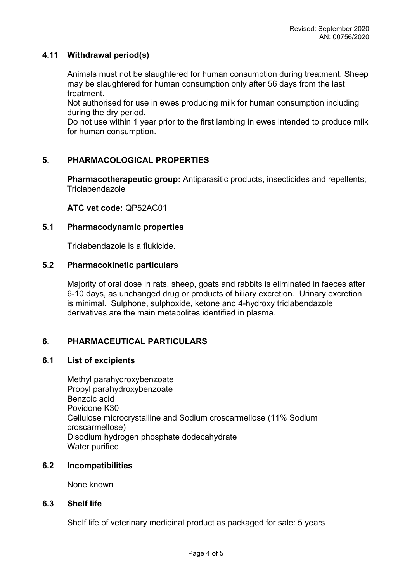## **4.11 Withdrawal period(s)**

Animals must not be slaughtered for human consumption during treatment. Sheep may be slaughtered for human consumption only after 56 days from the last treatment.

Not authorised for use in ewes producing milk for human consumption including during the dry period.

Do not use within 1 year prior to the first lambing in ewes intended to produce milk for human consumption.

# **5. PHARMACOLOGICAL PROPERTIES**

**Pharmacotherapeutic group:** Antiparasitic products, insecticides and repellents; Triclabendazole

**ATC vet code:** QP52AC01

## **5.1 Pharmacodynamic properties**

Triclabendazole is a flukicide.

## **5.2 Pharmacokinetic particulars**

Majority of oral dose in rats, sheep, goats and rabbits is eliminated in faeces after 6-10 days, as unchanged drug or products of biliary excretion. Urinary excretion is minimal. Sulphone, sulphoxide, ketone and 4-hydroxy triclabendazole derivatives are the main metabolites identified in plasma.

# **6. PHARMACEUTICAL PARTICULARS**

## **6.1 List of excipients**

Methyl parahydroxybenzoate Propyl parahydroxybenzoate Benzoic acid Povidone K30 Cellulose microcrystalline and Sodium croscarmellose (11% Sodium croscarmellose) Disodium hydrogen phosphate dodecahydrate Water purified

# **6.2 Incompatibilities**

None known

#### **6.3 Shelf life**

Shelf life of veterinary medicinal product as packaged for sale: 5 years